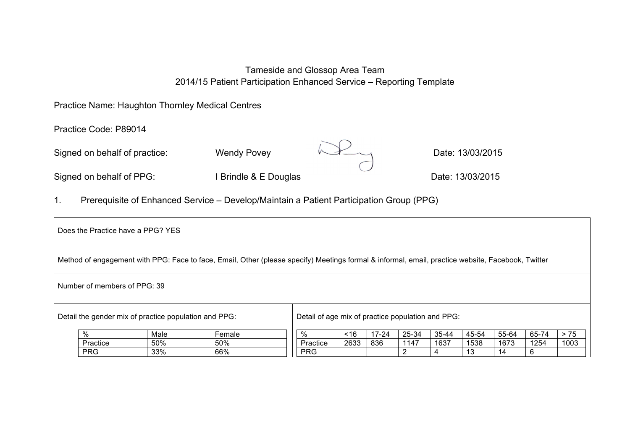# Tameside and Glossop Area Team 2014/15 Patient Participation Enhanced Service – Reporting Template

## Practice Name: Haughton Thornley Medical Centres

Practice Code: P89014

Signed on behalf of practice: Wendy Povey Merry Manuson Date: 13/03/2015



Signed on behalf of PPG: I Brindle & E Douglas Date: 13/03/2015

1. Prerequisite of Enhanced Service – Develop/Maintain a Patient Participation Group (PPG)

|                                                                                                                                                   | Does the Practice have a PPG? YES |      |        |  |                                                   |      |           |       |       |       |       |       |       |
|---------------------------------------------------------------------------------------------------------------------------------------------------|-----------------------------------|------|--------|--|---------------------------------------------------|------|-----------|-------|-------|-------|-------|-------|-------|
| Method of engagement with PPG: Face to face, Email, Other (please specify) Meetings formal & informal, email, practice website, Facebook, Twitter |                                   |      |        |  |                                                   |      |           |       |       |       |       |       |       |
| Number of members of PPG: 39                                                                                                                      |                                   |      |        |  |                                                   |      |           |       |       |       |       |       |       |
| Detail the gender mix of practice population and PPG:                                                                                             |                                   |      |        |  | Detail of age mix of practice population and PPG: |      |           |       |       |       |       |       |       |
|                                                                                                                                                   | %                                 | Male | Female |  | %                                                 | ~16  | $17 - 24$ | 25-34 | 35-44 | 45-54 | 55-64 | 65-74 | $>75$ |
|                                                                                                                                                   | Practice                          | 50%  | 50%    |  | Practice                                          | 2633 | 836       | 1147  | 1637  | 1538  | 1673  | 1254  | 1003  |
|                                                                                                                                                   | <b>PRG</b>                        | 33%  | 66%    |  | <b>PRG</b>                                        |      |           | 2     | 4     | 13    | 14    | 6     |       |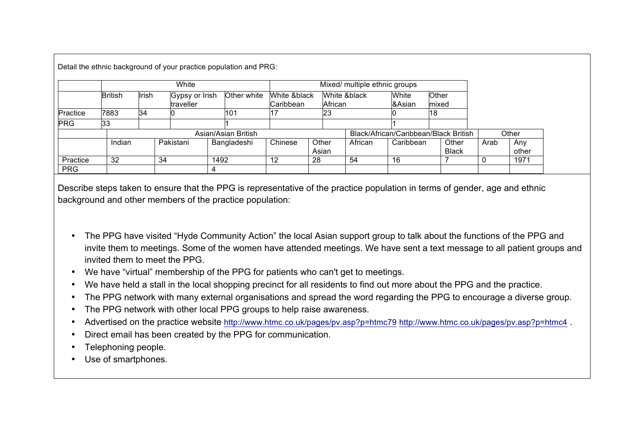Detail the ethnic background of your practice population and PRG:

|            | White          |       |                             |      |             |                                       |       |                         |         |                 |                |              |      |       |
|------------|----------------|-------|-----------------------------|------|-------------|---------------------------------------|-------|-------------------------|---------|-----------------|----------------|--------------|------|-------|
|            | <b>British</b> | Irish | Gypsy or Irish<br>traveller |      | Other white | White &black<br>Caribbean             |       | White &black<br>African |         | White<br>&Asian | Other<br>mixed |              |      |       |
| Practice   | 7883           | 34    |                             |      | 101         |                                       |       | 23                      |         |                 | 18             |              |      |       |
| <b>PRG</b> | 33             |       |                             |      |             |                                       |       |                         |         |                 |                |              |      |       |
|            |                |       |                             |      |             | Black/African/Caribbean/Black British |       |                         |         | Other           |                |              |      |       |
|            | Indian         |       | Pakistani                   |      | Bangladeshi | Chinese                               | Other |                         | African | Caribbean       |                | Other        | Arab | Anv   |
|            |                |       |                             |      |             |                                       | Asian |                         |         |                 |                | <b>Black</b> |      | other |
| Practice   | 32             |       | 34                          | 1492 |             | 12                                    | 28    |                         | 54      | 16              |                |              |      | 1971  |
| <b>PRG</b> |                |       |                             | 4    |             |                                       |       |                         |         |                 |                |              |      |       |

Describe steps taken to ensure that the PPG is representative of the practice population in terms of gender, age and ethnic background and other members of the practice population:

- The PPG have visited "Hyde Community Action" the local Asian support group to talk about the functions of the PPG and invite them to meetings. Some of the women have attended meetings. We have sent a text message to all patient groups and invited them to meet the PPG.
- We have "virtual" membership of the PPG for patients who can't get to meetings.
- We have held a stall in the local shopping precinct for all residents to find out more about the PPG and the practice.
- The PPG network with many external organisations and spread the word regarding the PPG to encourage a diverse group.
- The PPG network with other local PPG groups to help raise awareness.
- Advertised on the practice website http://www.htmc.co.uk/pages/pv.asp?p=htmc79 http://www.htmc.co.uk/pages/pv.asp?p=htmc4 .
- Direct email has been created by the PPG for communication.
- Telephoning people.
- Use of smartphones.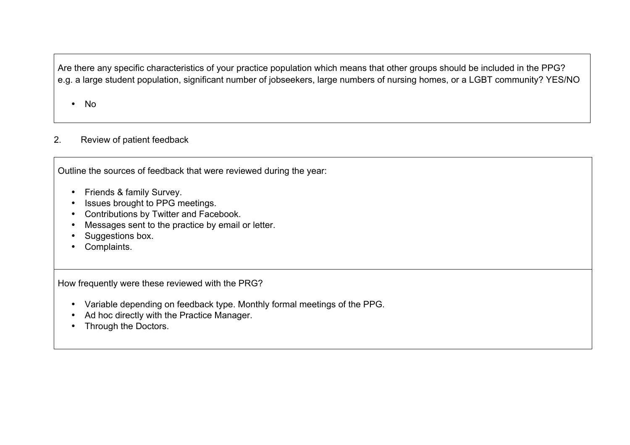Are there any specific characteristics of your practice population which means that other groups should be included in the PPG? e.g. a large student population, significant number of jobseekers, large numbers of nursing homes, or a LGBT community? YES/NO

• No

# 2. Review of patient feedback

Outline the sources of feedback that were reviewed during the year:

- Friends & family Survey.
- Issues brought to PPG meetings.
- Contributions by Twitter and Facebook.
- Messages sent to the practice by email or letter.
- Suggestions box.
- Complaints.

How frequently were these reviewed with the PRG?

- Variable depending on feedback type. Monthly formal meetings of the PPG.
- Ad hoc directly with the Practice Manager.
- Through the Doctors.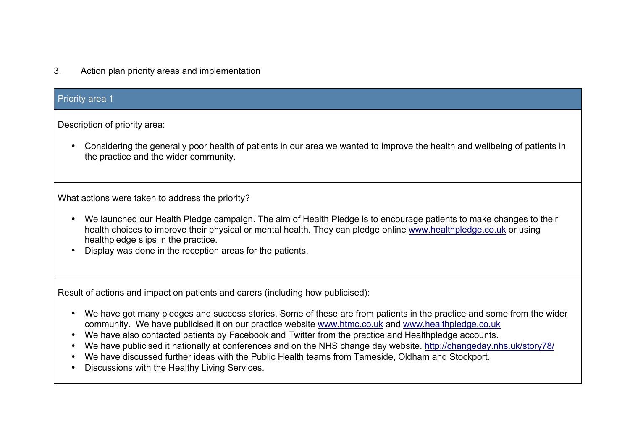3. Action plan priority areas and implementation

# Priority area 1

Description of priority area:

• Considering the generally poor health of patients in our area we wanted to improve the health and wellbeing of patients in the practice and the wider community.

What actions were taken to address the priority?

- We launched our Health Pledge campaign. The aim of Health Pledge is to encourage patients to make changes to their health choices to improve their physical or mental health. They can pledge online www.healthpledge.co.uk or using healthpledge slips in the practice.
- Display was done in the reception areas for the patients.

Result of actions and impact on patients and carers (including how publicised):

- We have got many pledges and success stories. Some of these are from patients in the practice and some from the wider community. We have publicised it on our practice website www.htmc.co.uk and www.healthpledge.co.uk
- We have also contacted patients by Facebook and Twitter from the practice and Healthpledge accounts.
- We have publicised it nationally at conferences and on the NHS change day website. http://changeday.nhs.uk/story78/
- We have discussed further ideas with the Public Health teams from Tameside, Oldham and Stockport.
- Discussions with the Healthy Living Services.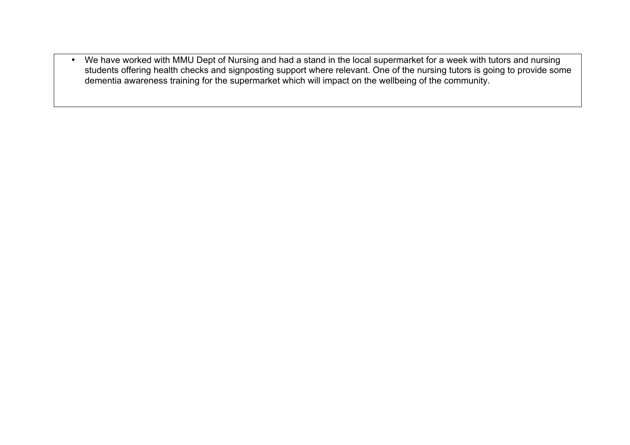• We have worked with MMU Dept of Nursing and had a stand in the local supermarket for a week with tutors and nursing students offering health checks and signposting support where relevant. One of the nursing tutors is going to provide some dementia awareness training for the supermarket which will impact on the wellbeing of the community.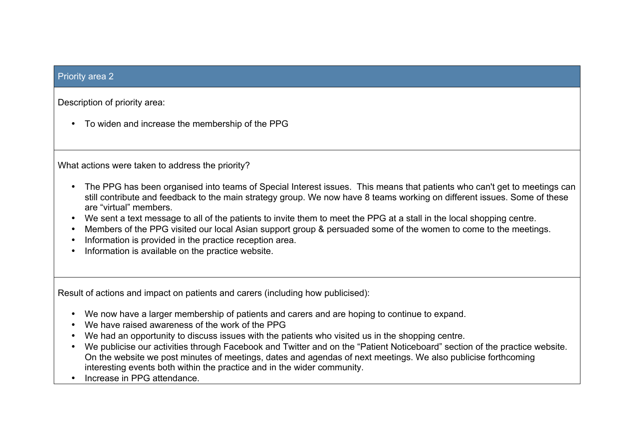## Priority area 2

Description of priority area:

• To widen and increase the membership of the PPG

What actions were taken to address the priority?

- The PPG has been organised into teams of Special Interest issues. This means that patients who can't get to meetings can still contribute and feedback to the main strategy group. We now have 8 teams working on different issues. Some of these are "virtual" members.
- We sent a text message to all of the patients to invite them to meet the PPG at a stall in the local shopping centre.
- Members of the PPG visited our local Asian support group & persuaded some of the women to come to the meetings.
- Information is provided in the practice reception area.
- Information is available on the practice website.

Result of actions and impact on patients and carers (including how publicised):

- We now have a larger membership of patients and carers and are hoping to continue to expand.
- We have raised awareness of the work of the PPG
- We had an opportunity to discuss issues with the patients who visited us in the shopping centre.
- We publicise our activities through Facebook and Twitter and on the "Patient Noticeboard" section of the practice website. On the website we post minutes of meetings, dates and agendas of next meetings. We also publicise forthcoming interesting events both within the practice and in the wider community.
- Increase in PPG attendance.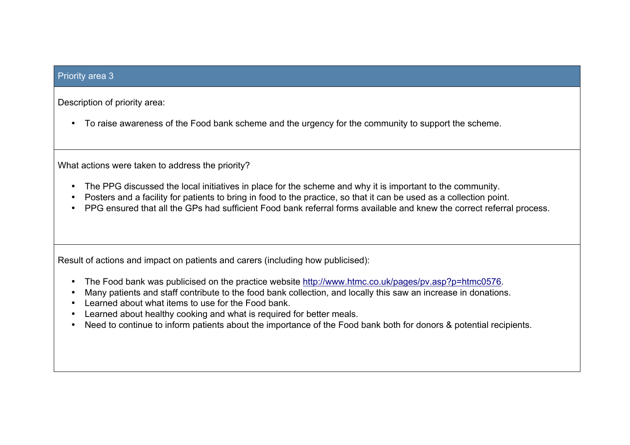## Priority area 3

Description of priority area:

• To raise awareness of the Food bank scheme and the urgency for the community to support the scheme.

What actions were taken to address the priority?

- The PPG discussed the local initiatives in place for the scheme and why it is important to the community.
- Posters and a facility for patients to bring in food to the practice, so that it can be used as a collection point.
- PPG ensured that all the GPs had sufficient Food bank referral forms available and knew the correct referral process.

Result of actions and impact on patients and carers (including how publicised):

- The Food bank was publicised on the practice website http://www.htmc.co.uk/pages/pv.asp?p=htmc0576.
- Many patients and staff contribute to the food bank collection, and locally this saw an increase in donations.
- Learned about what items to use for the Food bank.
- Learned about healthy cooking and what is required for better meals.
- Need to continue to inform patients about the importance of the Food bank both for donors & potential recipients.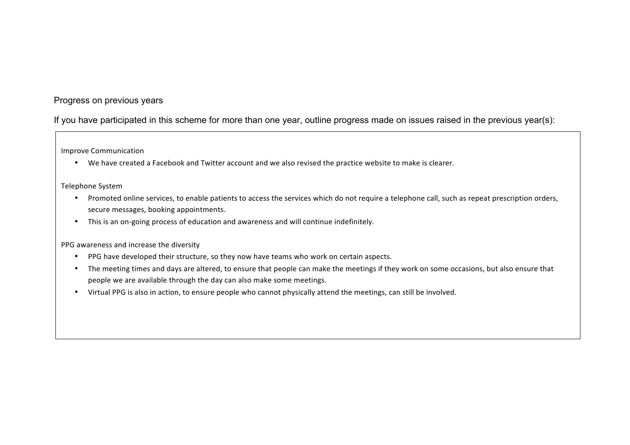## Progress on previous years

If you have participated in this scheme for more than one year, outline progress made on issues raised in the previous year(s):

Improve Communication

• We have created a Facebook and Twitter account and we also revised the practice website to make is clearer.

#### Telephone System

- Promoted online services, to enable patients to access the services which do not require a telephone call, such as repeat prescription orders, secure messages, booking appointments.
- This is an on-going process of education and awareness and will continue indefinitely.

PPG awareness and increase the diversity

- PPG have developed their structure, so they now have teams who work on certain aspects.
- The meeting times and days are altered, to ensure that people can make the meetings if they work on some occasions, but also ensure that people we are available through the day can also make some meetings.
- Virtual PPG is also in action, to ensure people who cannot physically attend the meetings, can still be involved.